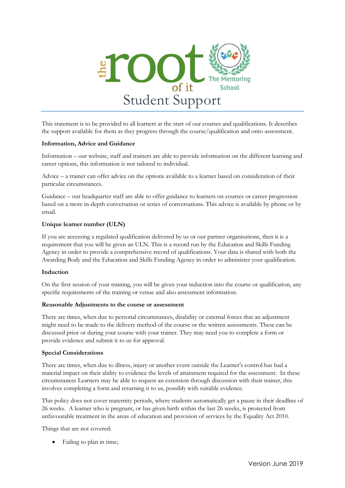

This statement is to be provided to all learners at the start of our courses and qualifications. It describes the support available for them as they progress through the course/qualification and onto assessment.

#### **Information, Advice and Guidance**

Information – our website, staff and trainers are able to provide information on the different learning and career options, this information is not tailored to individual.

Advice – a trainer can offer advice on the options available to a learner based on consideration of their particular circumstances.

Guidance – our headquarter staff are able to offer guidance to learners on courses or career progression based on a more in-depth conversation or series of conversations. This advice is available by phone or by email.

## **Unique learner number (ULN)**

If you are accessing a regulated qualification delivered by us or our partner organisations, then it is a requirement that you will be given an ULN. This is a record run by the Education and Skills Funding Agency in order to provide a comprehensive record of qualifications. Your data is shared with both the Awarding Body and the Education and Skills Funding Agency in order to administer your qualification.

## **Induction**

On the first session of your training, you will be given your induction into the course or qualification, any specific requirements of the training or venue and also assessment information.

#### **Reasonable Adjustments to the course or assessment**

There are times, when due to personal circumstances, disability or external forces that an adjustment might need to be made to the delivery method of the course or the written assessments. These can be discussed prior or during your course with your trainer. They may need you to complete a form or provide evidence and submit it to us for approval.

#### **Special Considerations**

There are times, when due to illness, injury or another event outside the Learner's control has had a material impact on their ability to evidence the levels of attainment required for the assessment. In these circumstances Learners may be able to request an extension through discussion with their trainer, this involves completing a form and returning it to us, possibly with suitable evidence.

This policy does not cover maternity periods, where students automatically get a pause in their deadline of 26 weeks. A learner who is pregnant, or has given birth within the last 26 weeks, is protected from unfavourable treatment in the areas of education and provision of services by the Equality Act 2010.

Things that are not covered:

Failing to plan in time;